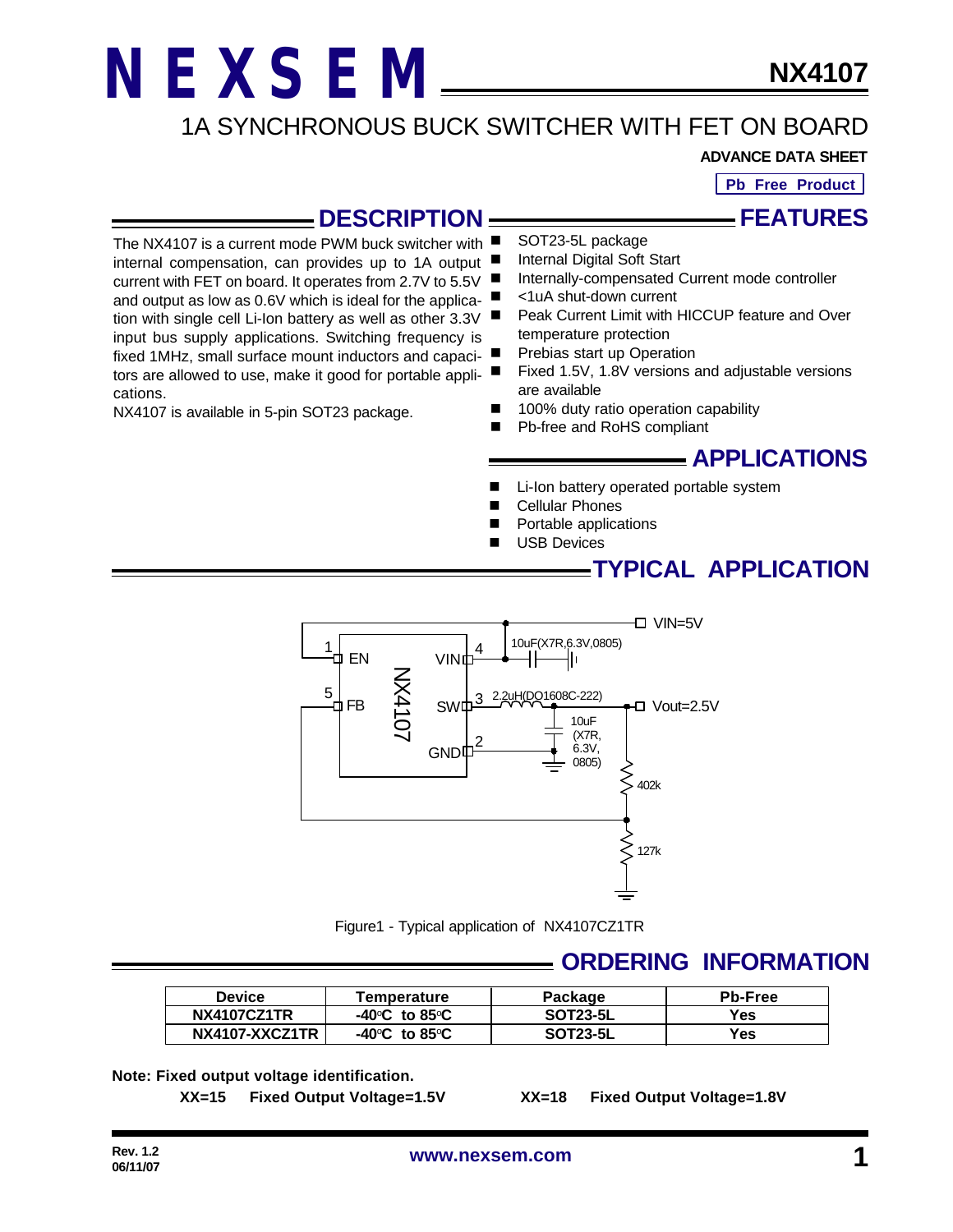1A SYNCHRONOUS BUCK SWITCHER WITH FET ON BOARD

#### **ADVANCE DATA SHEET**

**Pb Free Product**

**FEATURES**

#### **DESCRIPTION**

The NX4107 is a current mode PWM buck switcher with internal compensation, can provides up to 1A output current with FET on board. It operates from 2.7V to 5.5V and output as low as 0.6V which is ideal for the application with single cell Li-Ion battery as well as other 3.3V input bus supply applications. Switching frequency is fixed 1MHz, small surface mount inductors and capacitors are allowed to use, make it good for portable applications.

NX4107 is available in 5-pin SOT23 package.

- SOT23-5L package
- Internal Digital Soft Start
- Internally-compensated Current mode controller
- $\blacksquare$  <1uA shut-down current
- Peak Current Limit with HICCUP feature and Over temperature protection
- Prebias start up Operation
- Fixed 1.5V, 1.8V versions and adjustable versions are available
- 100% duty ratio operation capability
- Pb-free and RoHS compliant

#### **APPLICATIONS**

- Li-Ion battery operated portable system
	- **Cellular Phones**
- Portable applications
- **USB Devices**

#### **TYPICAL APPLICATION**



Figure1 - Typical application of NX4107CZ1TR

#### **ORDERING INFORMATION**

| <b>Device</b>      | <b>Temperature</b>                                      | Package         | <b>Pb-Free</b> |
|--------------------|---------------------------------------------------------|-----------------|----------------|
| <b>NX4107CZ1TR</b> | -40 $\mathrm{^{\circ}C}\;$ to 85 $\mathrm{^{\circ}C}\;$ | <b>SOT23-5L</b> | Yes            |
| NX4107-XXCZ1TR     | $-40^{\circ}$ C to 85 $^{\circ}$ C                      | <b>SOT23-5L</b> | Yes            |

**Note: Fixed output voltage identification.**

**XX=15 Fixed Output Voltage=1.5V XX=18 Fixed Output Voltage=1.8V**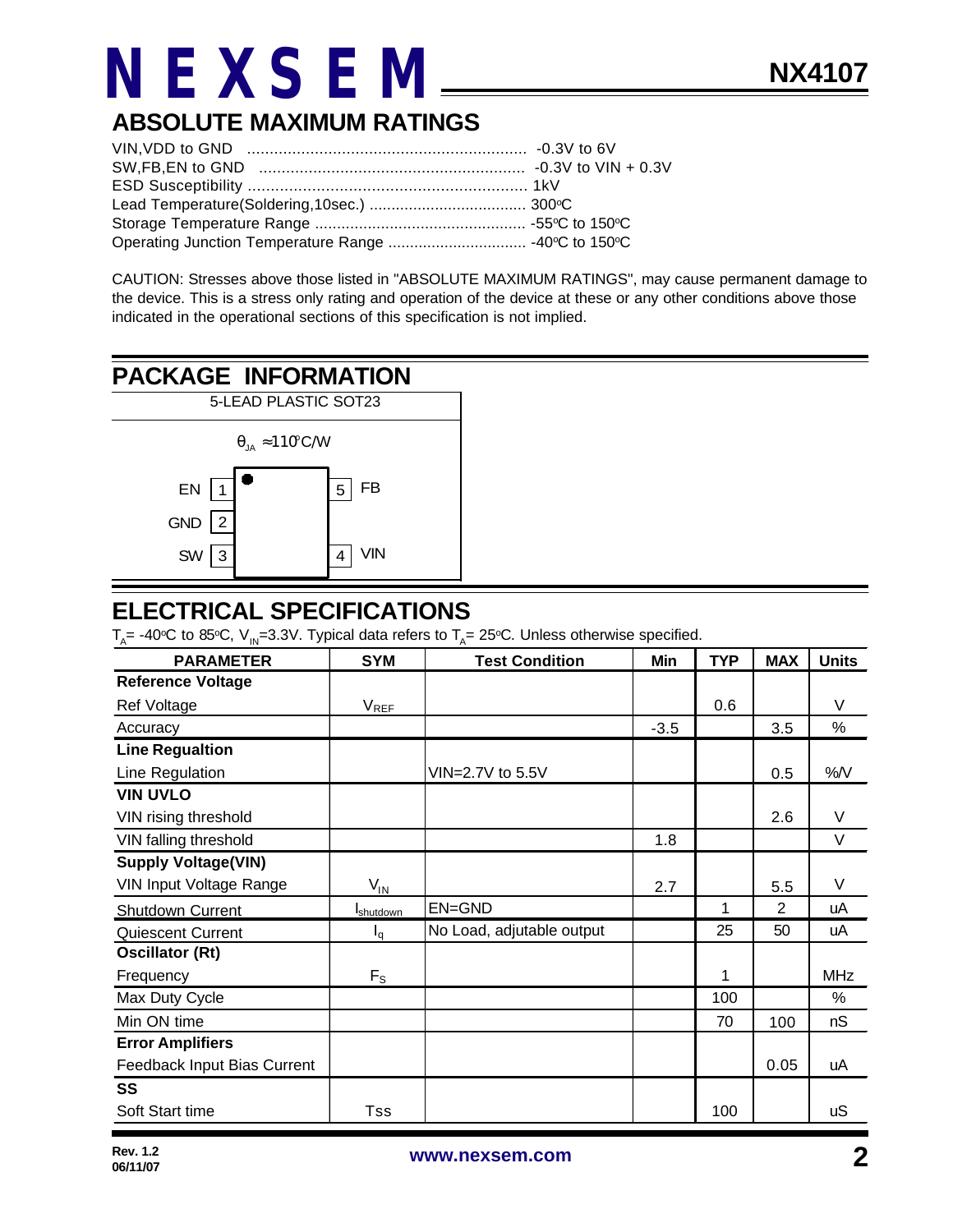### **ABSOLUTE MAXIMUM RATINGS**

CAUTION: Stresses above those listed in "ABSOLUTE MAXIMUM RATINGS", may cause permanent damage to the device. This is a stress only rating and operation of the device at these or any other conditions above those indicated in the operational sections of this specification is not implied.

### **PACKAGE INFORMATION**



#### **ELECTRICAL SPECIFICATIONS**

 $T_{\rm A}$ = -40°C to 85°C, V<sub>IN</sub>=3.3V. Typical data refers to T<sub>A</sub>= 25°C. Unless otherwise specified.

| <b>PARAMETER</b>            | <b>SYM</b>        | <b>Test Condition</b>     | Min    | <b>TYP</b> | <b>MAX</b>     | <b>Units</b> |
|-----------------------------|-------------------|---------------------------|--------|------------|----------------|--------------|
| <b>Reference Voltage</b>    |                   |                           |        |            |                |              |
| Ref Voltage                 | $V_{REF}$         |                           |        | 0.6        |                | V            |
| Accuracy                    |                   |                           | $-3.5$ |            | 3.5            | $\%$         |
| <b>Line Regualtion</b>      |                   |                           |        |            |                |              |
| Line Regulation             |                   | VIN=2.7V to 5.5V          |        |            | 0.5            | %N           |
| <b>VIN UVLO</b>             |                   |                           |        |            |                |              |
| VIN rising threshold        |                   |                           |        |            | 2.6            | V            |
| VIN falling threshold       |                   |                           | 1.8    |            |                | V            |
| <b>Supply Voltage(VIN)</b>  |                   |                           |        |            |                |              |
| VIN Input Voltage Range     | $V_{IN}$          |                           | 2.7    |            | 5.5            | V            |
| <b>Shutdown Current</b>     | <b>I</b> shutdown | EN=GND                    |        | 1          | $\overline{2}$ | uA           |
| Quiescent Current           | $I_q$             | No Load, adjutable output |        | 25         | 50             | uA           |
| <b>Oscillator (Rt)</b>      |                   |                           |        |            |                |              |
| Frequency                   | $F_{S}$           |                           |        | 1          |                | <b>MHz</b>   |
| Max Duty Cycle              |                   |                           |        | 100        |                | $\%$         |
| Min ON time                 |                   |                           |        | 70         | 100            | nS           |
| <b>Error Amplifiers</b>     |                   |                           |        |            |                |              |
| Feedback Input Bias Current |                   |                           |        |            | 0.05           | uA           |
| SS                          |                   |                           |        |            |                |              |
| Soft Start time             | Tss               |                           |        | 100        |                | uS           |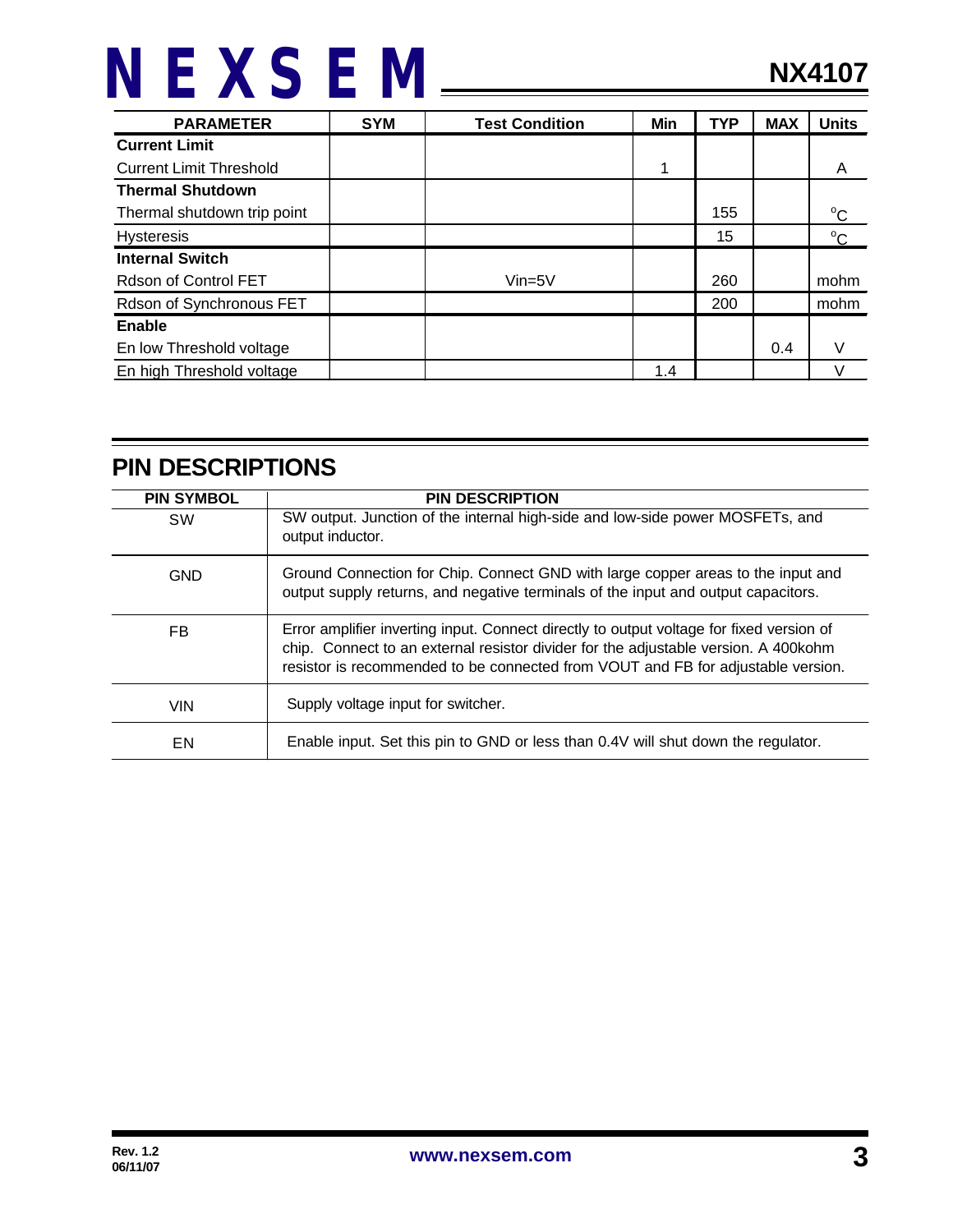| <b>PARAMETER</b>               | <b>SYM</b> | <b>Test Condition</b> | Min | <b>TYP</b> | <b>MAX</b> | <b>Units</b> |
|--------------------------------|------------|-----------------------|-----|------------|------------|--------------|
| <b>Current Limit</b>           |            |                       |     |            |            |              |
| <b>Current Limit Threshold</b> |            |                       | 1   |            |            | A            |
| <b>Thermal Shutdown</b>        |            |                       |     |            |            |              |
| Thermal shutdown trip point    |            |                       |     | 155        |            | $^{\circ}$ C |
| <b>Hysteresis</b>              |            |                       |     | 15         |            | $^{\circ}$ C |
| <b>Internal Switch</b>         |            |                       |     |            |            |              |
| Rdson of Control FET           |            | $V$ in=5 $V$          |     | 260        |            | mohm         |
| Rdson of Synchronous FET       |            |                       |     | 200        |            | mohm         |
| Enable                         |            |                       |     |            |            |              |
| En low Threshold voltage       |            |                       |     |            | 0.4        |              |
| En high Threshold voltage      |            |                       | 1.4 |            |            |              |

#### **PIN DESCRIPTIONS**

| <b>PIN SYMBOL</b> | <b>PIN DESCRIPTION</b>                                                                                                                                                                                                                                               |
|-------------------|----------------------------------------------------------------------------------------------------------------------------------------------------------------------------------------------------------------------------------------------------------------------|
| <b>SW</b>         | SW output. Junction of the internal high-side and low-side power MOSFETs, and<br>output inductor.                                                                                                                                                                    |
| GND               | Ground Connection for Chip. Connect GND with large copper areas to the input and<br>output supply returns, and negative terminals of the input and output capacitors.                                                                                                |
| FB                | Error amplifier inverting input. Connect directly to output voltage for fixed version of<br>chip. Connect to an external resistor divider for the adjustable version. A 400 kohm<br>resistor is recommended to be connected from VOUT and FB for adjustable version. |
| <b>VIN</b>        | Supply voltage input for switcher.                                                                                                                                                                                                                                   |
| EN                | Enable input. Set this pin to GND or less than 0.4V will shut down the regulator.                                                                                                                                                                                    |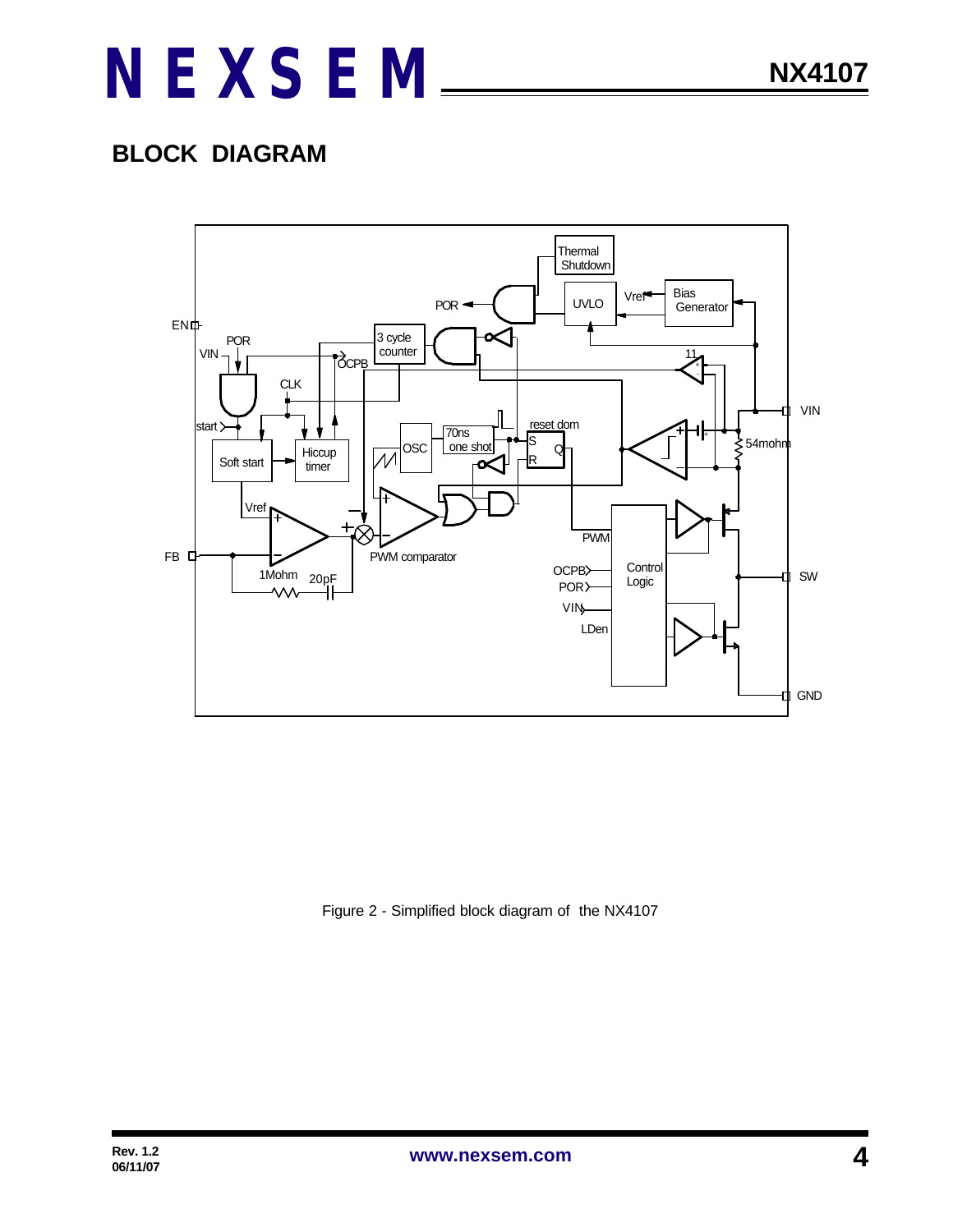### **BLOCK DIAGRAM**



Figure 2 - Simplified block diagram of the NX4107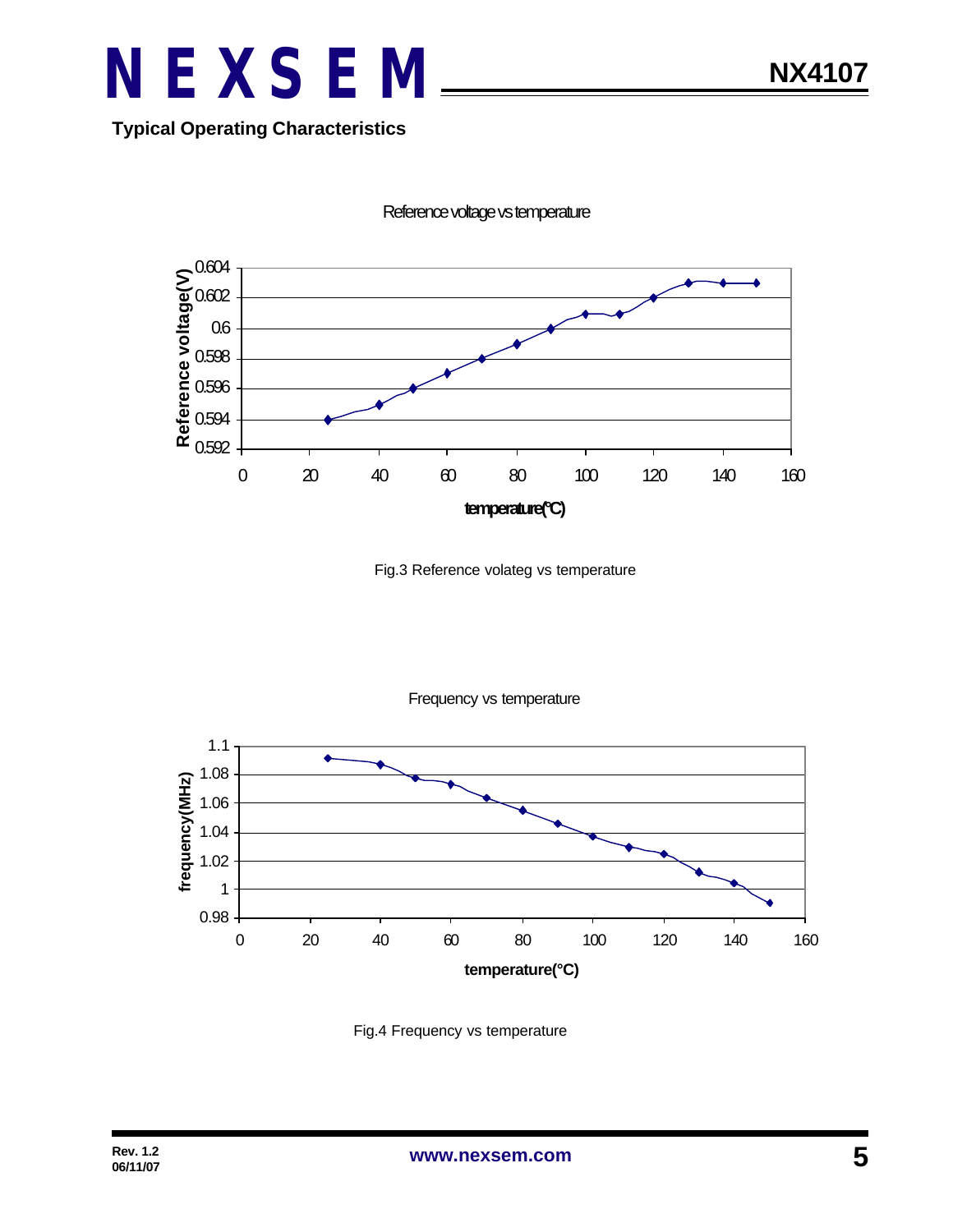

#### **Typical Operating Characteristics**



Reference voltage vs temperature

Fig.3 Reference volateg vs temperature



Frequency vs temperature

Fig.4 Frequency vs temperature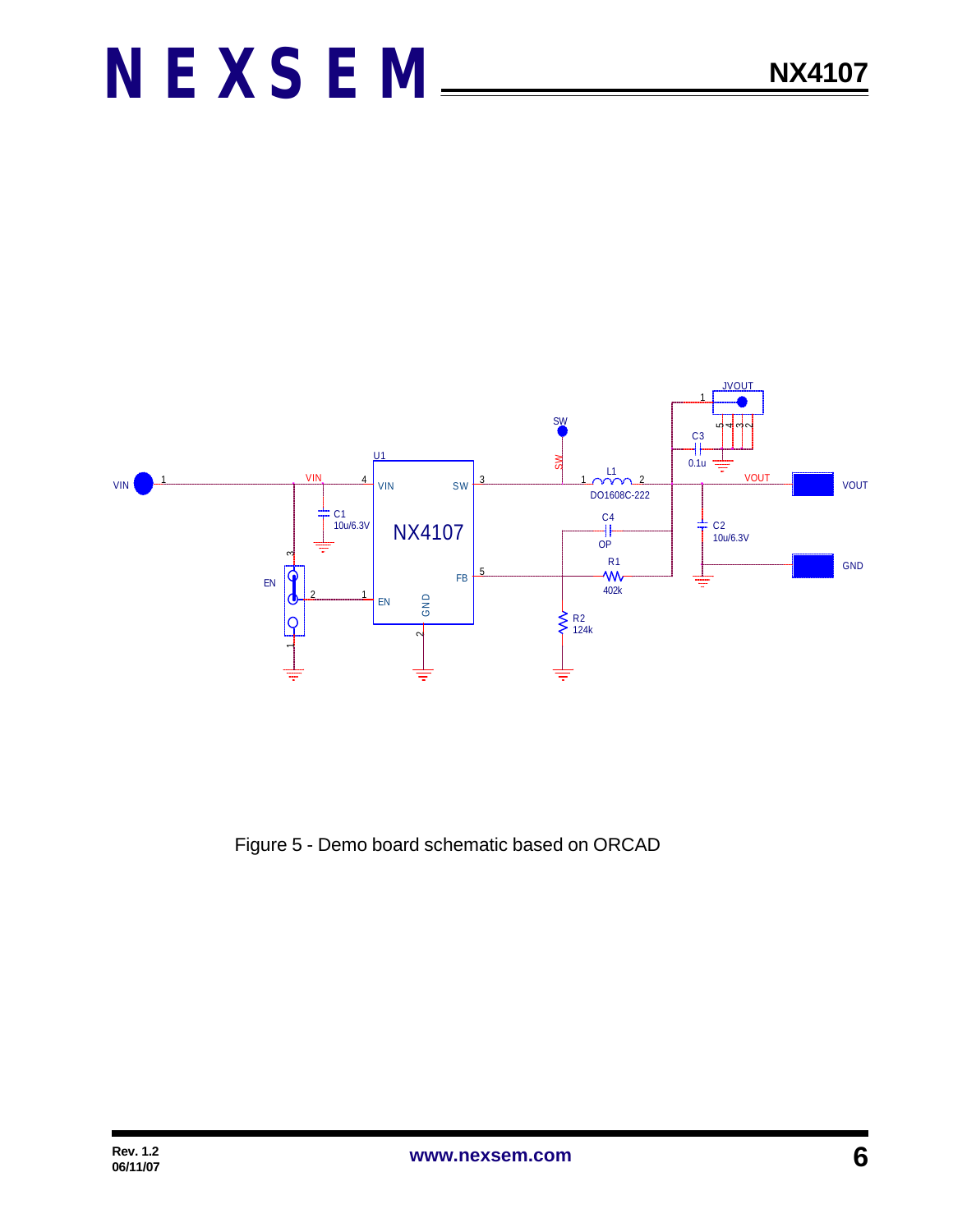

Figure 5 - Demo board schematic based on ORCAD